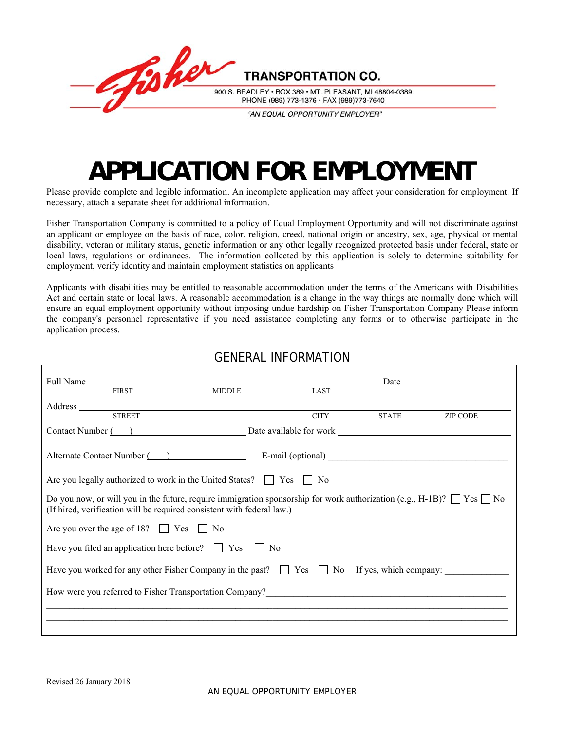

# **APPLICATION FOR EMPLOYMENT**

Please provide complete and legible information. An incomplete application may affect your consideration for employment. If necessary, attach a separate sheet for additional information.

Fisher Transportation Company is committed to a policy of Equal Employment Opportunity and will not discriminate against an applicant or employee on the basis of race, color, religion, creed, national origin or ancestry, sex, age, physical or mental disability, veteran or military status, genetic information or any other legally recognized protected basis under federal, state or local laws, regulations or ordinances. The information collected by this application is solely to determine suitability for employment, verify identity and maintain employment statistics on applicants

Applicants with disabilities may be entitled to reasonable accommodation under the terms of the Americans with Disabilities Act and certain state or local laws. A reasonable accommodation is a change in the way things are normally done which will ensure an equal employment opportunity without imposing undue hardship on Fisher Transportation Company Please inform the company's personnel representative if you need assistance completing any forms or to otherwise participate in the application process.

#### GENERAL INFORMATION

| LAST                                             |                                                                                                                                                                                                                                                                                                                                                                                                                                                                                        |                                                                                                                                                                                                                                                                                                                                                                                                                                             |
|--------------------------------------------------|----------------------------------------------------------------------------------------------------------------------------------------------------------------------------------------------------------------------------------------------------------------------------------------------------------------------------------------------------------------------------------------------------------------------------------------------------------------------------------------|---------------------------------------------------------------------------------------------------------------------------------------------------------------------------------------------------------------------------------------------------------------------------------------------------------------------------------------------------------------------------------------------------------------------------------------------|
|                                                  |                                                                                                                                                                                                                                                                                                                                                                                                                                                                                        |                                                                                                                                                                                                                                                                                                                                                                                                                                             |
|                                                  |                                                                                                                                                                                                                                                                                                                                                                                                                                                                                        | <b>ZIP CODE</b>                                                                                                                                                                                                                                                                                                                                                                                                                             |
|                                                  |                                                                                                                                                                                                                                                                                                                                                                                                                                                                                        |                                                                                                                                                                                                                                                                                                                                                                                                                                             |
|                                                  |                                                                                                                                                                                                                                                                                                                                                                                                                                                                                        |                                                                                                                                                                                                                                                                                                                                                                                                                                             |
|                                                  |                                                                                                                                                                                                                                                                                                                                                                                                                                                                                        |                                                                                                                                                                                                                                                                                                                                                                                                                                             |
|                                                  |                                                                                                                                                                                                                                                                                                                                                                                                                                                                                        |                                                                                                                                                                                                                                                                                                                                                                                                                                             |
|                                                  |                                                                                                                                                                                                                                                                                                                                                                                                                                                                                        |                                                                                                                                                                                                                                                                                                                                                                                                                                             |
|                                                  |                                                                                                                                                                                                                                                                                                                                                                                                                                                                                        |                                                                                                                                                                                                                                                                                                                                                                                                                                             |
|                                                  |                                                                                                                                                                                                                                                                                                                                                                                                                                                                                        |                                                                                                                                                                                                                                                                                                                                                                                                                                             |
|                                                  |                                                                                                                                                                                                                                                                                                                                                                                                                                                                                        |                                                                                                                                                                                                                                                                                                                                                                                                                                             |
|                                                  |                                                                                                                                                                                                                                                                                                                                                                                                                                                                                        |                                                                                                                                                                                                                                                                                                                                                                                                                                             |
|                                                  |                                                                                                                                                                                                                                                                                                                                                                                                                                                                                        |                                                                                                                                                                                                                                                                                                                                                                                                                                             |
| Are you over the age of 18? $\Box$ Yes $\Box$ No | Full Name FIRST MIDDLE<br>Address and the contract of the contract of the contract of the contract of the contract of the contract of the contract of the contract of the contract of the contract of the contract of the contract of the contract of th<br>Are you legally authorized to work in the United States? $\Box$ Yes $\Box$ No<br>(If hired, verification will be required consistent with federal law.)<br>Have you filed an application here before? $\Box$ Yes $\Box$ No | <b>CITY</b><br><b>STATE</b><br>Contact Number (Change and Contact Number (Change and Contact Number 2014)<br>Alternate Contact Number ( ) E-mail (optional) __________________________________<br>Do you now, or will you in the future, require immigration sponsorship for work authorization (e.g., H-1B)? $\Box$ Yes $\Box$ No<br>Have you worked for any other Fisher Company in the past? $\Box$ Yes $\Box$ No If yes, which company: |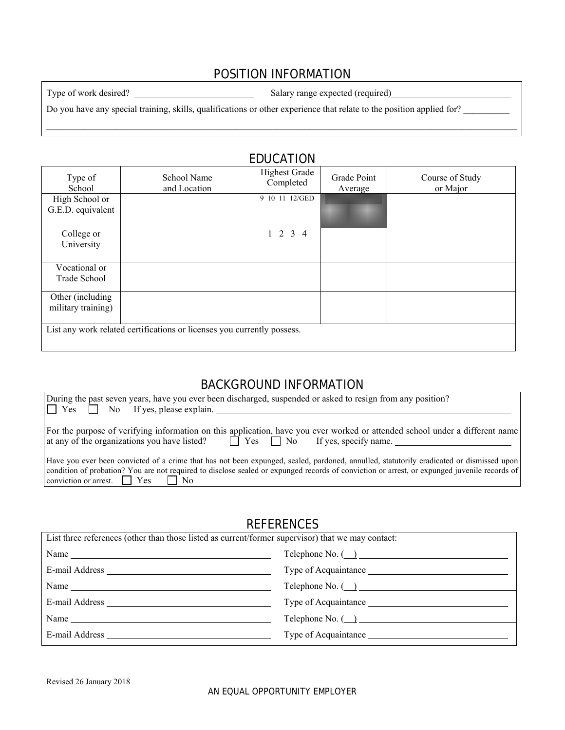### POSITION INFORMATION

Type of work desired? Salary range expected (required)

Do you have any special training, skills, qualifications or other experience that relate to the position applied for?

|                                         |                                                                         | <b>EDUCATION</b>                  |                        |                             |
|-----------------------------------------|-------------------------------------------------------------------------|-----------------------------------|------------------------|-----------------------------|
| Type of<br>School                       | School Name<br>and Location                                             | <b>Highest Grade</b><br>Completed | Grade Point<br>Average | Course of Study<br>or Major |
| High School or<br>G.E.D. equivalent     |                                                                         | 9 10 11 12/GED                    |                        |                             |
| College or<br>University                |                                                                         | $1 \t2 \t3 \t4$                   |                        |                             |
| Vocational or<br>Trade School           |                                                                         |                                   |                        |                             |
| Other (including)<br>military training) |                                                                         |                                   |                        |                             |
|                                         | List any work related certifications or licenses you currently possess. |                                   |                        |                             |

# BACKGROUND INFORMATION

| During the past seven years, have you ever been discharged, suspended or asked to resign from any position?<br>$ \Box$ Yes $\Box$ No If yes, please explain.                                                                                                                                                                                   |
|------------------------------------------------------------------------------------------------------------------------------------------------------------------------------------------------------------------------------------------------------------------------------------------------------------------------------------------------|
| For the purpose of verifying information on this application, have you ever worked or attended school under a different name<br>at any of the organizations you have listed? $\Box$ Yes $\Box$ No If yes, specify name.                                                                                                                        |
| Have you ever been convicted of a crime that has not been expunged, sealed, pardoned, annulled, statutorily eradicated or dismissed upon<br>condition of probation? You are not required to disclose sealed or expunged records of conviction or arrest, or expunged juvenile records of<br>$\vert$ conviction or arrest. $\Box$ Yes $\Box$ No |

#### **REFERENCES**

| List three references (other than those listed as current/former supervisor) that we may contact: |                                        |  |  |
|---------------------------------------------------------------------------------------------------|----------------------------------------|--|--|
|                                                                                                   | $\text{Telephone No.}$ $\qquad \qquad$ |  |  |
|                                                                                                   |                                        |  |  |
|                                                                                                   |                                        |  |  |
| E-mail Address                                                                                    |                                        |  |  |
| Name                                                                                              | Telephone No. $\overline{)}$           |  |  |
|                                                                                                   |                                        |  |  |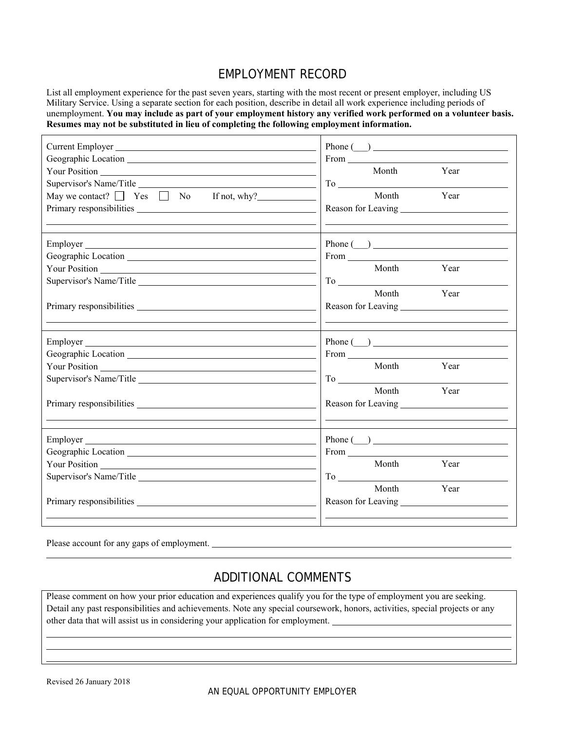### EMPLOYMENT RECORD

List all employment experience for the past seven years, starting with the most recent or present employer, including US Military Service. Using a separate section for each position, describe in detail all work experience including periods of unemployment. **You may include as part of your employment history any verified work performed on a volunteer basis. Resumes may not be substituted in lieu of completing the following employment information.**

| May we contact? $\Box$ Yes $\Box$ No If not, why?           | Phone $(\_)$<br>From<br>Month<br>Year<br>Month Year                                                                                                                                                                                                                                                                         |
|-------------------------------------------------------------|-----------------------------------------------------------------------------------------------------------------------------------------------------------------------------------------------------------------------------------------------------------------------------------------------------------------------------|
| Employer                                                    | $\mathsf{Phone}\left(\_\_\right) \_\_\_\_\_\_\_\_\_$<br>From The Contract of the Contract of the Contract of the Contract of the Contract of the Contract of the Contract of the Contract of the Contract of the Contract of the Contract of the Contract of the Contract of the Contr<br>Month Year<br>To<br>Month<br>Year |
|                                                             | Phone $\qquad \qquad$<br>Month<br>Year<br>Month Year                                                                                                                                                                                                                                                                        |
| Your Position News Your Position<br>Supervisor's Name/Title | $\text{Phone} \text{ }(\_\_\_\_\_$<br>From The Commission of the Commission of the Commission of the Commission of the Commission of the Commission of the Commission of the Commission of the Commission of the Commission of the Commission of the Commission of t<br>Month<br>Year<br>Month<br>Year                      |

Please account for any gaps of employment.

## ADDITIONAL COMMENTS

Please comment on how your prior education and experiences qualify you for the type of employment you are seeking. Detail any past responsibilities and achievements. Note any special coursework, honors, activities, special projects or any other data that will assist us in considering your application for employment.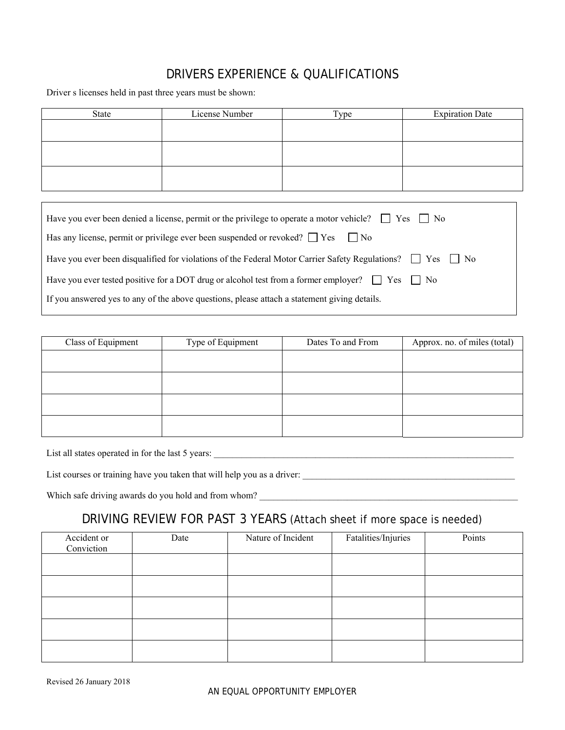# DRIVERS EXPERIENCE & QUALIFICATIONS

Driver s licenses held in past three years must be shown:

Г

| State | License Number | Type | <b>Expiration Date</b> |
|-------|----------------|------|------------------------|
|       |                |      |                        |
|       |                |      |                        |
|       |                |      |                        |
|       |                |      |                        |
|       |                |      |                        |
|       |                |      |                        |

| Have you ever been denied a license, permit or the privilege to operate a motor vehicle? $\Box$ Yes $\Box$ No        |
|----------------------------------------------------------------------------------------------------------------------|
| Has any license, permit or privilege ever been suspended or revoked? $\Box$ Yes $\Box$ No                            |
| Have you ever been disqualified for violations of the Federal Motor Carrier Safety Regulations? $\Box$ Yes $\Box$ No |
| Have you ever tested positive for a DOT drug or alcohol test from a former employer? $\Box$ Yes $\Box$ No            |
| If you answered yes to any of the above questions, please attach a statement giving details.                         |

| Class of Equipment | Type of Equipment | Dates To and From | Approx. no. of miles (total) |
|--------------------|-------------------|-------------------|------------------------------|
|                    |                   |                   |                              |
|                    |                   |                   |                              |
|                    |                   |                   |                              |
|                    |                   |                   |                              |

List all states operated in for the last 5 years: \_\_\_\_\_\_\_\_\_\_\_\_\_\_\_\_\_\_\_\_\_\_\_\_\_\_\_\_\_\_\_\_\_\_\_\_\_\_\_\_\_\_\_\_\_\_\_\_\_\_\_\_\_\_\_\_\_\_\_\_\_\_\_\_\_

List courses or training have you taken that will help you as a driver: \_\_\_\_\_\_\_\_\_\_\_\_\_\_\_\_\_\_\_\_\_\_\_\_\_\_\_\_\_\_\_\_\_\_\_\_\_\_\_\_\_\_\_\_\_\_

Which safe driving awards do you hold and from whom? \_\_\_\_\_\_\_\_\_\_\_\_\_\_\_\_\_\_\_\_\_\_\_\_\_\_\_\_\_\_\_\_\_\_\_\_\_\_\_\_\_\_\_\_\_\_\_\_\_\_\_\_\_\_\_\_

### DRIVING REVIEW FOR PAST 3 YEARS (Attach sheet if more space is needed)

| Accident or<br>Conviction | Date | Nature of Incident | Fatalities/Injuries | Points |
|---------------------------|------|--------------------|---------------------|--------|
|                           |      |                    |                     |        |
|                           |      |                    |                     |        |
|                           |      |                    |                     |        |
|                           |      |                    |                     |        |
|                           |      |                    |                     |        |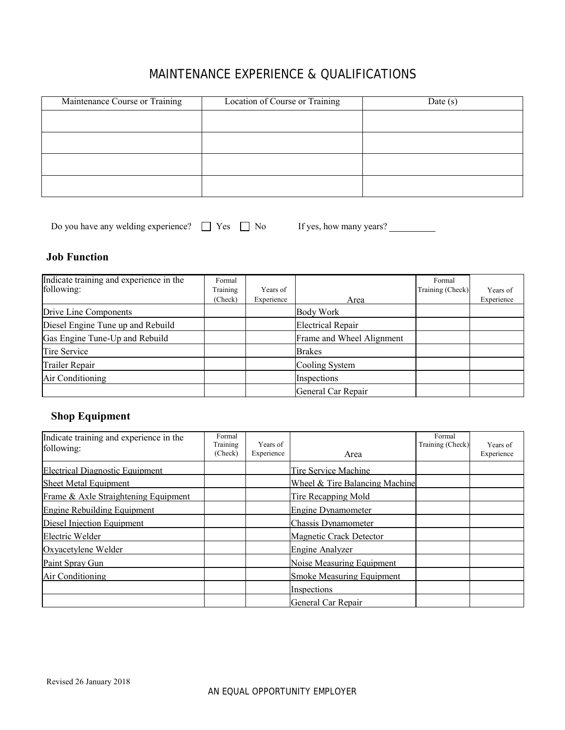# MAINTENANCE EXPERIENCE & QUALIFICATIONS

| Maintenance Course or Training | Location of Course or Training | Date $(s)$ |
|--------------------------------|--------------------------------|------------|
|                                |                                |            |
|                                |                                |            |
|                                |                                |            |
|                                |                                |            |

| Do you have any welding experience? |  | $\exists$ Yes $\Box$ No |  |
|-------------------------------------|--|-------------------------|--|
|                                     |  |                         |  |

If yes, how many years?

#### **Job Function**

| Indicate training and experience in the<br>following: | Formal<br>Training | Years of   |                           | Formal<br>Training (Check) | Years of   |
|-------------------------------------------------------|--------------------|------------|---------------------------|----------------------------|------------|
|                                                       | (Check)            | Experience | Area                      |                            | Experience |
| Drive Line Components                                 |                    |            | Body Work                 |                            |            |
| Diesel Engine Tune up and Rebuild                     |                    |            | <b>Electrical Repair</b>  |                            |            |
| Gas Engine Tune-Up and Rebuild                        |                    |            | Frame and Wheel Alignment |                            |            |
| Tire Service                                          |                    |            | <b>Brakes</b>             |                            |            |
| Trailer Repair                                        |                    |            | Cooling System            |                            |            |
| Air Conditioning                                      |                    |            | Inspections               |                            |            |
|                                                       |                    |            | General Car Repair        |                            |            |

#### **Shop Equipment**

| Indicate training and experience in the<br>following: | Formal<br>Training<br>(Check) | Years of<br>Experience | Area                           | Formal<br>Training (Check) | Years of<br>Experience |
|-------------------------------------------------------|-------------------------------|------------------------|--------------------------------|----------------------------|------------------------|
| <b>Electrical Diagnostic Equipment</b>                |                               |                        | Tire Service Machine           |                            |                        |
| Sheet Metal Equipment                                 |                               |                        | Wheel & Tire Balancing Machine |                            |                        |
| Frame & Axle Straightening Equipment                  |                               |                        | <b>Tire Recapping Mold</b>     |                            |                        |
| Engine Rebuilding Equipment                           |                               |                        | Engine Dynamometer             |                            |                        |
| Diesel Injection Equipment                            |                               |                        | Chassis Dynamometer            |                            |                        |
| Electric Welder                                       |                               |                        | <b>Magnetic Crack Detector</b> |                            |                        |
| Oxyacetylene Welder                                   |                               |                        | Engine Analyzer                |                            |                        |
| Paint Spray Gun                                       |                               |                        | Noise Measuring Equipment      |                            |                        |
| Air Conditioning                                      |                               |                        | Smoke Measuring Equipment      |                            |                        |
|                                                       |                               |                        | Inspections                    |                            |                        |
|                                                       |                               |                        | General Car Repair             |                            |                        |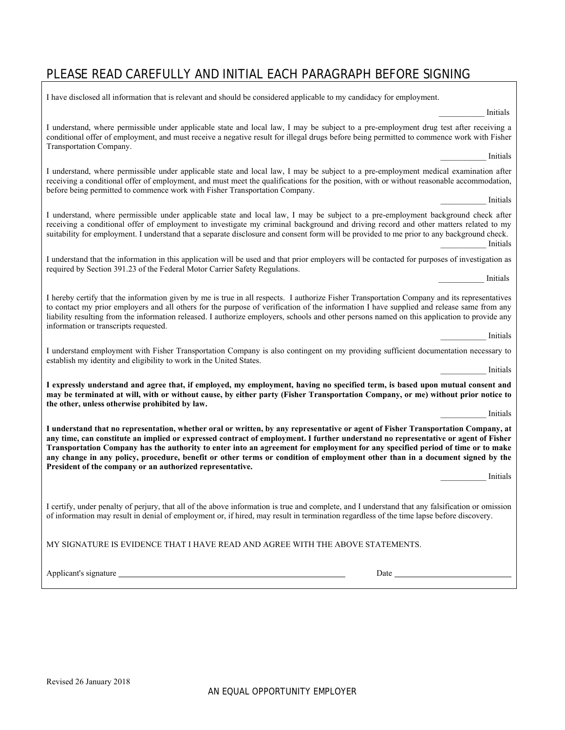# PLEASE READ CAREFULLY AND INITIAL EACH PARAGRAPH BEFORE SIGNING

| I have disclosed all information that is relevant and should be considered applicable to my candidacy for employment.                                                                                                                                                                                                                                                                                                                                                                                                                                                                                               |  |  |  |  |  |  |
|---------------------------------------------------------------------------------------------------------------------------------------------------------------------------------------------------------------------------------------------------------------------------------------------------------------------------------------------------------------------------------------------------------------------------------------------------------------------------------------------------------------------------------------------------------------------------------------------------------------------|--|--|--|--|--|--|
| Initials                                                                                                                                                                                                                                                                                                                                                                                                                                                                                                                                                                                                            |  |  |  |  |  |  |
| I understand, where permissible under applicable state and local law, I may be subject to a pre-employment drug test after receiving a<br>conditional offer of employment, and must receive a negative result for illegal drugs before being permitted to commence work with Fisher<br>Transportation Company.                                                                                                                                                                                                                                                                                                      |  |  |  |  |  |  |
| Initials                                                                                                                                                                                                                                                                                                                                                                                                                                                                                                                                                                                                            |  |  |  |  |  |  |
| I understand, where permissible under applicable state and local law, I may be subject to a pre-employment medical examination after<br>receiving a conditional offer of employment, and must meet the qualifications for the position, with or without reasonable accommodation,<br>before being permitted to commence work with Fisher Transportation Company.                                                                                                                                                                                                                                                    |  |  |  |  |  |  |
| Initials                                                                                                                                                                                                                                                                                                                                                                                                                                                                                                                                                                                                            |  |  |  |  |  |  |
| I understand, where permissible under applicable state and local law, I may be subject to a pre-employment background check after<br>receiving a conditional offer of employment to investigate my criminal background and driving record and other matters related to my<br>suitability for employment. I understand that a separate disclosure and consent form will be provided to me prior to any background check.<br>Initials                                                                                                                                                                                 |  |  |  |  |  |  |
| I understand that the information in this application will be used and that prior employers will be contacted for purposes of investigation as<br>required by Section 391.23 of the Federal Motor Carrier Safety Regulations.<br>Initials                                                                                                                                                                                                                                                                                                                                                                           |  |  |  |  |  |  |
|                                                                                                                                                                                                                                                                                                                                                                                                                                                                                                                                                                                                                     |  |  |  |  |  |  |
| I hereby certify that the information given by me is true in all respects. I authorize Fisher Transportation Company and its representatives<br>to contact my prior employers and all others for the purpose of verification of the information I have supplied and release same from any<br>liability resulting from the information released. I authorize employers, schools and other persons named on this application to provide any<br>information or transcripts requested.                                                                                                                                  |  |  |  |  |  |  |
| Initials                                                                                                                                                                                                                                                                                                                                                                                                                                                                                                                                                                                                            |  |  |  |  |  |  |
| I understand employment with Fisher Transportation Company is also contingent on my providing sufficient documentation necessary to<br>establish my identity and eligibility to work in the United States.                                                                                                                                                                                                                                                                                                                                                                                                          |  |  |  |  |  |  |
| Initials                                                                                                                                                                                                                                                                                                                                                                                                                                                                                                                                                                                                            |  |  |  |  |  |  |
| I expressly understand and agree that, if employed, my employment, having no specified term, is based upon mutual consent and<br>may be terminated at will, with or without cause, by either party (Fisher Transportation Company, or me) without prior notice to<br>the other, unless otherwise prohibited by law.                                                                                                                                                                                                                                                                                                 |  |  |  |  |  |  |
| Initials                                                                                                                                                                                                                                                                                                                                                                                                                                                                                                                                                                                                            |  |  |  |  |  |  |
| I understand that no representation, whether oral or written, by any representative or agent of Fisher Transportation Company, at<br>any time, can constitute an implied or expressed contract of employment. I further understand no representative or agent of Fisher<br>Transportation Company has the authority to enter into an agreement for employment for any specified period of time or to make<br>any change in any policy, procedure, benefit or other terms or condition of employment other than in a document signed by the<br>President of the company or an authorized representative.<br>Initials |  |  |  |  |  |  |
|                                                                                                                                                                                                                                                                                                                                                                                                                                                                                                                                                                                                                     |  |  |  |  |  |  |
| I certify, under penalty of perjury, that all of the above information is true and complete, and I understand that any falsification or omission<br>of information may result in denial of employment or, if hired, may result in termination regardless of the time lapse before discovery.                                                                                                                                                                                                                                                                                                                        |  |  |  |  |  |  |
| MY SIGNATURE IS EVIDENCE THAT I HAVE READ AND AGREE WITH THE ABOVE STATEMENTS.                                                                                                                                                                                                                                                                                                                                                                                                                                                                                                                                      |  |  |  |  |  |  |
|                                                                                                                                                                                                                                                                                                                                                                                                                                                                                                                                                                                                                     |  |  |  |  |  |  |